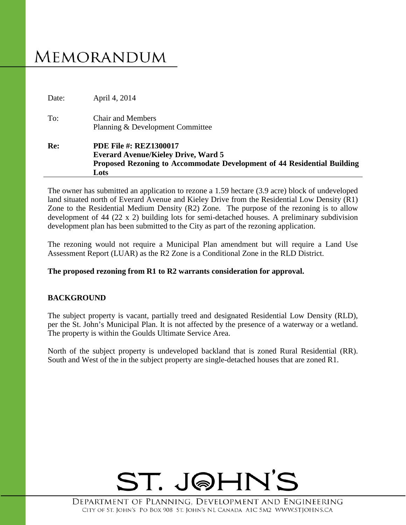# **MEMORANDUM**

|       | Proposed Rezoning to Accommodate Development of 44 Residential Building<br>Lots |
|-------|---------------------------------------------------------------------------------|
|       | <b>Everard Avenue/Kieley Drive, Ward 5</b>                                      |
| Re:   | <b>PDE File #: REZ1300017</b>                                                   |
|       | Planning & Development Committee                                                |
| To:   | <b>Chair and Members</b>                                                        |
| Date: | April 4, 2014                                                                   |

The owner has submitted an application to rezone a 1.59 hectare (3.9 acre) block of undeveloped land situated north of Everard Avenue and Kieley Drive from the Residential Low Density (R1) Zone to the Residential Medium Density (R2) Zone. The purpose of the rezoning is to allow development of 44 (22 x 2) building lots for semi-detached houses. A preliminary subdivision development plan has been submitted to the City as part of the rezoning application.

The rezoning would not require a Municipal Plan amendment but will require a Land Use Assessment Report (LUAR) as the R2 Zone is a Conditional Zone in the RLD District.

## **The proposed rezoning from R1 to R2 warrants consideration for approval.**

## **BACKGROUND**

The subject property is vacant, partially treed and designated Residential Low Density (RLD), per the St. John's Municipal Plan. It is not affected by the presence of a waterway or a wetland. The property is within the Goulds Ultimate Service Area.

North of the subject property is undeveloped backland that is zoned Rural Residential (RR). South and West of the in the subject property are single-detached houses that are zoned R1.

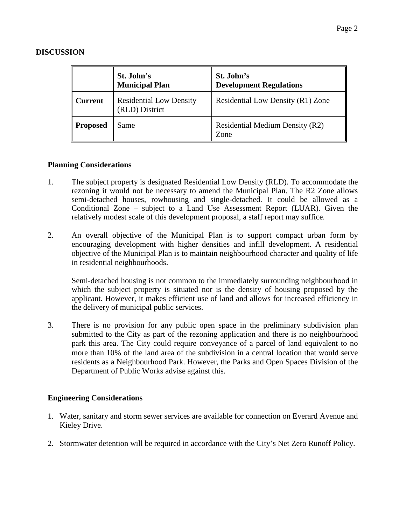## **DISCUSSION**

|                | St. John's<br><b>Municipal Plan</b>              | St. John's<br><b>Development Regulations</b> |
|----------------|--------------------------------------------------|----------------------------------------------|
| <b>Current</b> | <b>Residential Low Density</b><br>(RLD) District | Residential Low Density (R1) Zone            |
| Proposed       | Same                                             | Residential Medium Density (R2)<br>Zone      |

## **Planning Considerations**

- 1. The subject property is designated Residential Low Density (RLD). To accommodate the rezoning it would not be necessary to amend the Municipal Plan. The R2 Zone allows semi-detached houses, rowhousing and single-detached. It could be allowed as a Conditional Zone – subject to a Land Use Assessment Report (LUAR). Given the relatively modest scale of this development proposal, a staff report may suffice.
- 2. An overall objective of the Municipal Plan is to support compact urban form by encouraging development with higher densities and infill development. A residential objective of the Municipal Plan is to maintain neighbourhood character and quality of life in residential neighbourhoods.

Semi-detached housing is not common to the immediately surrounding neighbourhood in which the subject property is situated nor is the density of housing proposed by the applicant. However, it makes efficient use of land and allows for increased efficiency in the delivery of municipal public services.

3. There is no provision for any public open space in the preliminary subdivision plan submitted to the City as part of the rezoning application and there is no neighbourhood park this area. The City could require conveyance of a parcel of land equivalent to no more than 10% of the land area of the subdivision in a central location that would serve residents as a Neighbourhood Park. However, the Parks and Open Spaces Division of the Department of Public Works advise against this.

## **Engineering Considerations**

- 1. Water, sanitary and storm sewer services are available for connection on Everard Avenue and Kieley Drive.
- 2. Stormwater detention will be required in accordance with the City's Net Zero Runoff Policy.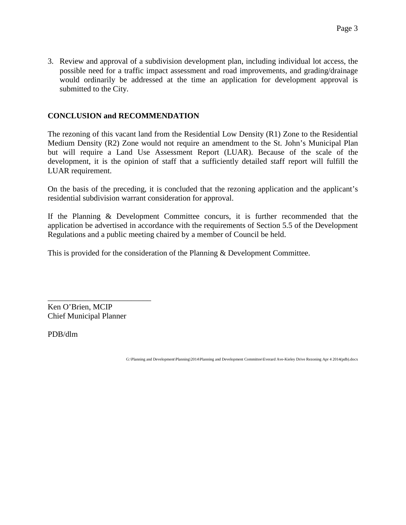3. Review and approval of a subdivision development plan, including individual lot access, the possible need for a traffic impact assessment and road improvements, and grading/drainage would ordinarily be addressed at the time an application for development approval is submitted to the City.

## **CONCLUSION and RECOMMENDATION**

The rezoning of this vacant land from the Residential Low Density (R1) Zone to the Residential Medium Density (R2) Zone would not require an amendment to the St. John's Municipal Plan but will require a Land Use Assessment Report (LUAR). Because of the scale of the development, it is the opinion of staff that a sufficiently detailed staff report will fulfill the LUAR requirement.

On the basis of the preceding, it is concluded that the rezoning application and the applicant's residential subdivision warrant consideration for approval.

If the Planning & Development Committee concurs, it is further recommended that the application be advertised in accordance with the requirements of Section 5.5 of the Development Regulations and a public meeting chaired by a member of Council be held.

This is provided for the consideration of the Planning & Development Committee.

\_\_\_\_\_\_\_\_\_\_\_\_\_\_\_\_\_\_\_\_\_\_\_\_\_\_ Ken O'Brien, MCIP Chief Municipal Planner

PDB/dlm

G:\Planning and Development\Planning\2014\Planning and Development Committee\Everard Ave-Kieley Drive Rezoning Apr 4 2014(pdb).docx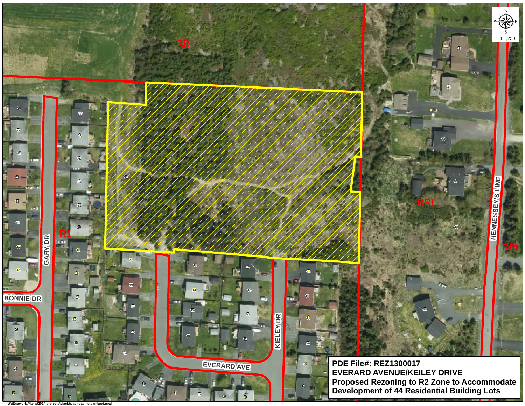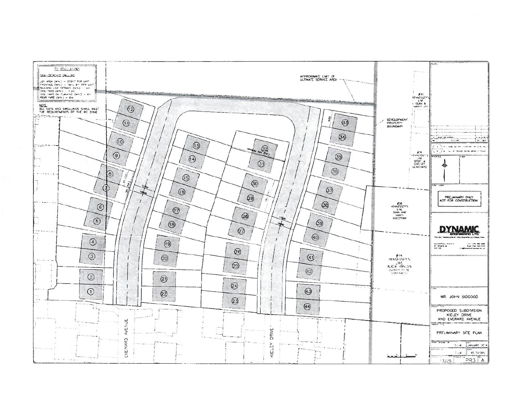